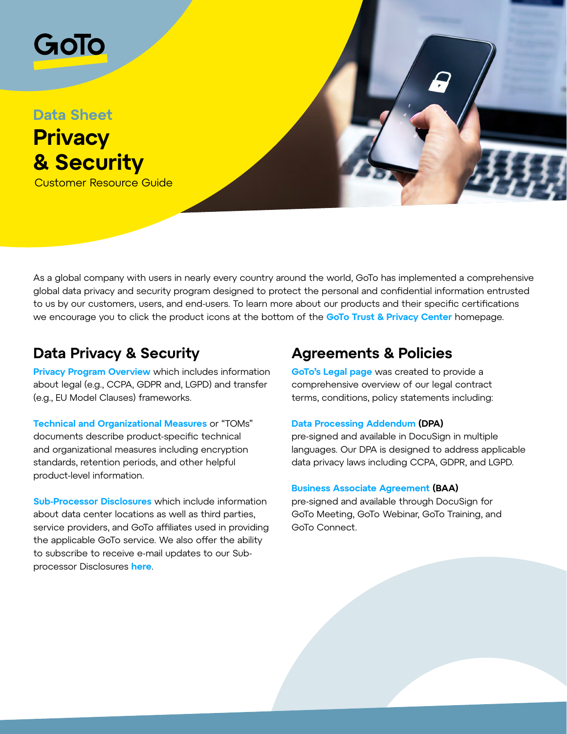

As a global company with users in nearly every country around the world, GoTo has implemented a comprehensive global data privacy and security program designed to protect the personal and confidential information entrusted to us by our customers, users, and end-users. To learn more about our products and their specific certifications we encourage you to click the product icons at the bottom of the **[GoTo Trust & Privacy Center](https://www.goto.com/company/trust)** homepage.

## **Data Privacy & Security**

**[Privacy Program Overview](https://www.goto.com/company/trust/privacy)** which includes information about legal (e.g., CCPA, GDPR and, LGPD) and transfer (e.g., EU Model Clauses) frameworks.

**[Technical and Organizational Measures](https://www.goto.com/company/trust/resource-center)** or "TOMs" documents describe product-specific technical and organizational measures including encryption standards, retention periods, and other helpful product-level information.

**[Sub-Processor Disclosures](https://www.goto.com/company/trust/resource-center)** which include information about data center locations as well as third parties, service providers, and GoTo affiliates used in providing the applicable GoTo service. We also offer the ability to subscribe to receive e-mail updates to our Subprocessor Disclosures **[here](https://lp.logmeininc.com/sub-processor-preference.html)**.

## **Agreements & Policies**

**[GoTo's Legal page](https://www.goto.com/company/legal)** was created to provide a comprehensive overview of our legal contract terms, conditions, policy statements including:

### **[Data Processing Addendum](https://www.goto.com/company/legal) (DPA)**

pre-signed and available in DocuSign in multiple languages. Our DPA is designed to address applicable data privacy laws including CCPA, GDPR, and LGPD.

#### **[Business Associate Agreement](https://www.goto.com/company/trust/resource-center) (BAA)**

pre-signed and available through DocuSign for GoTo Meeting, GoTo Webinar, GoTo Training, and GoTo Connect.